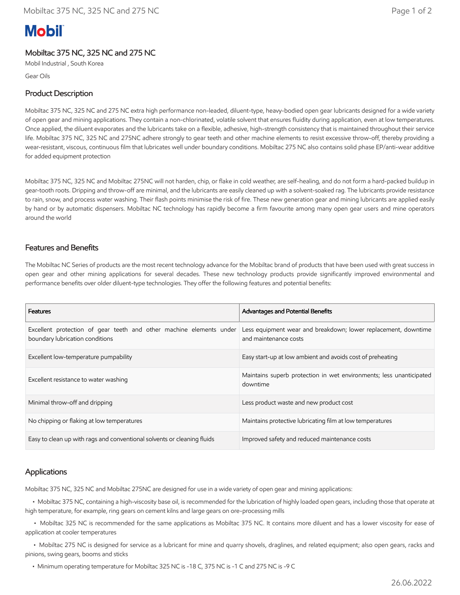# **Mobil**

# Mobiltac 375 NC, 325 NC and 275 NC

Mobil Industrial , South Korea

Gear Oils

### Product Description

Mobiltac 375 NC, 325 NC and 275 NC extra high performance non-leaded, diluent-type, heavy-bodied open gear lubricants designed for a wide variety of open gear and mining applications. They contain a non-chlorinated, volatile solvent that ensures fluidity during application, even at low temperatures. Once applied, the diluent evaporates and the lubricants take on a flexible, adhesive, high-strength consistency that is maintained throughout their service life. Mobiltac 375 NC, 325 NC and 275NC adhere strongly to gear teeth and other machine elements to resist excessive throw-off, thereby providing a wear-resistant, viscous, continuous film that lubricates well under boundary conditions. Mobiltac 275 NC also contains solid phase EP/anti-wear additive for added equipment protection

Mobiltac 375 NC, 325 NC and Mobiltac 275NC will not harden, chip, or flake in cold weather, are self-healing, and do not form a hard-packed buildup in gear-tooth roots. Dripping and throw-off are minimal, and the lubricants are easily cleaned up with a solvent-soaked rag. The lubricants provide resistance to rain, snow, and process water washing. Their flash points minimise the risk of fire. These new generation gear and mining lubricants are applied easily by hand or by automatic dispensers. Mobiltac NC technology has rapidly become a firm favourite among many open gear users and mine operators around the world

#### Features and Benefits

The Mobiltac NC Series of products are the most recent technology advance for the Mobiltac brand of products that have been used with great success in open gear and other mining applications for several decades. These new technology products provide significantly improved environmental and performance benefits over older diluent-type technologies. They offer the following features and potential benefits:

| <b>Features</b>                                                                                        | Advantages and Potential Benefits                                                       |
|--------------------------------------------------------------------------------------------------------|-----------------------------------------------------------------------------------------|
| Excellent protection of gear teeth and other machine elements under<br>boundary lubrication conditions | Less equipment wear and breakdown; lower replacement, downtime<br>and maintenance costs |
| Excellent low-temperature pumpability                                                                  | Easy start-up at low ambient and avoids cost of preheating                              |
| Excellent resistance to water washing                                                                  | Maintains superb protection in wet environments; less unanticipated<br>downtime         |
| Minimal throw-off and dripping                                                                         | Less product waste and new product cost                                                 |
| No chipping or flaking at low temperatures                                                             | Maintains protective lubricating film at low temperatures                               |
| Easy to clean up with rags and conventional solvents or cleaning fluids                                | Improved safety and reduced maintenance costs                                           |

#### Applications

Mobiltac 375 NC, 325 NC and Mobiltac 275NC are designed for use in a wide variety of open gear and mining applications:

 • Mobiltac 375 NC, containing a high-viscosity base oil, is recommended for the lubrication of highly loaded open gears, including those that operate at high temperature, for example, ring gears on cement kilns and large gears on ore-processing mills

 • Mobiltac 325 NC is recommended for the same applications as Mobiltac 375 NC. It contains more diluent and has a lower viscosity for ease of application at cooler temperatures

 • Mobiltac 275 NC is designed for service as a lubricant for mine and quarry shovels, draglines, and related equipment; also open gears, racks and pinions, swing gears, booms and sticks

• Minimum operating temperature for Mobiltac 325 NC is -18 C, 375 NC is -1 C and 275 NC is -9 C